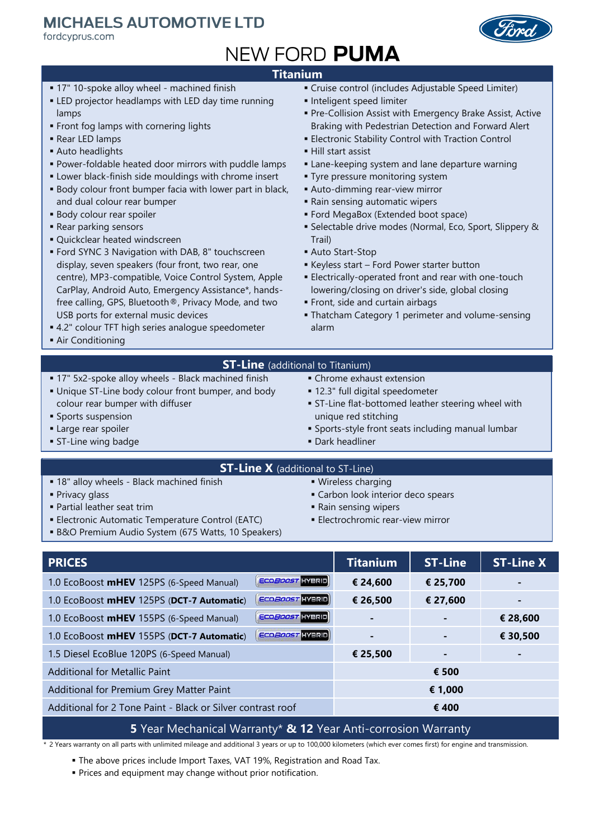## **MICHAELS AUTOMOTIVE LTD**

fordcyprus.com



# **NEW FORD PUMA**

### **Titanium**

- **17" 10-spoke alloy wheel machined finish**
- **ELED** projector headlamps with LED day time running lamps
- **Front fog lamps with cornering lights**
- Rear LED lamps
- Auto headlights
- Power-foldable heated door mirrors with puddle lamps
- **Example 2** Lower black-finish side mouldings with chrome insert
- **Body colour front bumper facia with lower part in black,** and dual colour rear bumper
- **Body colour rear spoiler**
- Rear parking sensors
- Quickclear heated windscreen
- **Ford SYNC 3 Navigation with DAB, 8" touchscreen** display, seven speakers (four front, two rear, one centre), MP3-compatible, Voice Control System, Apple CarPlay, Android Auto, Emergency Assistance\*, handsfree calling, GPS, Bluetooth®, Privacy Mode, and two USB ports for external music devices
- 4.2" colour TFT high series analogue speedometer
- **Air Conditioning**
- Cruise control (includes Adjustable Speed Limiter)
- **·** Inteligent speed limiter
- **Pre-Collision Assist with Emergency Brake Assist, Active** Braking with Pedestrian Detection and Forward Alert
- **Electronic Stability Control with Traction Control**
- Hill start assist
- **Example 2** Lane-keeping system and lane departure warning
- **Tyre pressure monitoring system**
- **Auto-dimming rear-view mirror**
- **E** Rain sensing automatic wipers
- Ford MegaBox (Extended boot space)
- Selectable drive modes (Normal, Eco, Sport, Slippery & Trail)
- Auto Start-Stop
- Keyless start Ford Power starter button
- **Electrically-operated front and rear with one-touch** lowering/closing on driver's side, global closing
- Front, side and curtain airbags
- **Thatcham Category 1 perimeter and volume-sensing** alarm

#### **ST-Line** (additional to Titanium)

- **17" 5x2-spoke alloy wheels Black machined finish**
- **.** Unique ST-Line body colour front bumper, and body colour rear bumper with diffuser
- **Sports suspension**
- **Large rear spoiler**
- **ST-Line wing badge**
- Chrome exhaust extension
- 12.3" full digital speedometer
- **EXT-Line flat-bottomed leather steering wheel with** unique red stitching
- **Sports-style front seats including manual lumbar**
- **Dark headliner**

#### **ST-Line X** (additional to ST-Line)

- **= 18" alloy wheels Black machined finish**
- **Privacy glass**
- Partial leather seat trim
- **Electronic Automatic Temperature Control (EATC)**
- **B&O Premium Audio System (675 Watts, 10 Speakers)**
- **· Wireless charging**
- **Example 1** Carbon look interior deco spears
- Rain sensing wipers
- **Electrochromic rear-view mirror**

| <b>PRICES</b>                                                             | <b>Titanium</b> | <b>ST-Line</b> | <b>ST-Line X</b> |  |  |
|---------------------------------------------------------------------------|-----------------|----------------|------------------|--|--|
| <b>ECO<i>BOOST</i></b> HYBRID<br>1.0 EcoBoost mHEV 125PS (6-Speed Manual) | € 24,600        | € 25,700       |                  |  |  |
| <b>ECOBOOST</b> HYBRID<br>1.0 EcoBoost mHEV 125PS (DCT-7 Automatic)       | € 26,500        | € 27,600       |                  |  |  |
| ECO <i>BOOST</i> HYBRID<br>1.0 EcoBoost mHEV 155PS (6-Speed Manual)       |                 | ٠              | € 28,600         |  |  |
| <b>ECOBOOST</b> HYBRID<br>1.0 EcoBoost mHEV 155PS (DCT-7 Automatic)       |                 | ٠              | € 30,500         |  |  |
| 1.5 Diesel EcoBlue 120PS (6-Speed Manual)                                 | € 25,500        | ٠              |                  |  |  |
| Additional for Metallic Paint                                             |                 | € 500          |                  |  |  |
| Additional for Premium Grey Matter Paint                                  |                 | € 1,000        |                  |  |  |
| Additional for 2 Tone Paint - Black or Silver contrast roof               | € 400           |                |                  |  |  |

#### **5** Year Mechanical Warranty\* **& 12** Year Anti-corrosion Warranty

\* 2 Years warranty on all parts with unlimited mileage and additional 3 years or up to 100,000 kilometers (which ever comes first) for engine and transmission.

**• The above prices include Import Taxes, VAT 19%, Registration and Road Tax.** 

**• Prices and equipment may change without prior notification.** 

- -
-